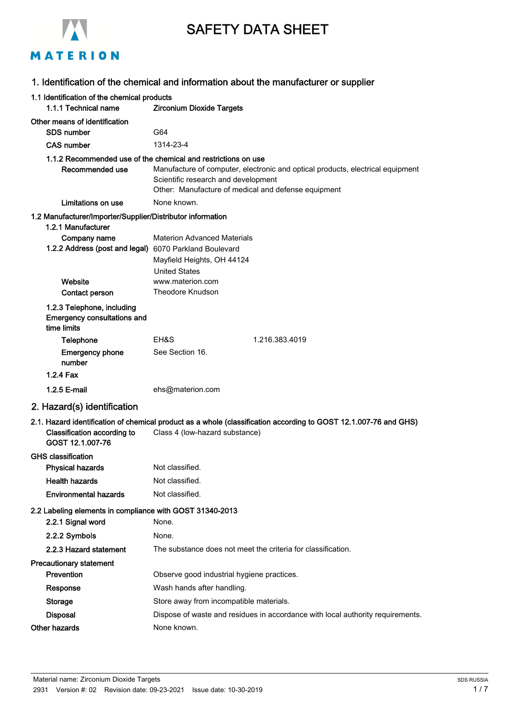|                                                                                  | <b>SAFETY DATA SHEET</b>                                                                                                                                                     |
|----------------------------------------------------------------------------------|------------------------------------------------------------------------------------------------------------------------------------------------------------------------------|
| MATERION                                                                         |                                                                                                                                                                              |
|                                                                                  | 1. Identification of the chemical and information about the manufacturer or supplier                                                                                         |
| 1.1 Identification of the chemical products<br>1.1.1 Technical name              | <b>Zirconium Dioxide Targets</b>                                                                                                                                             |
| Other means of identification                                                    |                                                                                                                                                                              |
| SDS number                                                                       | G64                                                                                                                                                                          |
| <b>CAS number</b>                                                                | 1314-23-4<br>1.1.2 Recommended use of the chemical and restrictions on use                                                                                                   |
| Recommended use                                                                  | Manufacture of computer, electronic and optical products, electrical equipment<br>Scientific research and development<br>Other: Manufacture of medical and defense equipment |
| Limitations on use                                                               | None known.                                                                                                                                                                  |
| 1.2 Manufacturer/Importer/Supplier/Distributor information<br>1.2.1 Manufacturer |                                                                                                                                                                              |
| Company name<br>1.2.2 Address (post and legal) 6070 Parkland Boulevard           | <b>Materion Advanced Materials</b><br>Mayfield Heights, OH 44124<br><b>United States</b>                                                                                     |
| Website<br>Contact person                                                        | www.materion.com<br><b>Theodore Knudson</b>                                                                                                                                  |
| 1.2.3 Telephone, including<br><b>Emergency consultations and</b><br>time limits  |                                                                                                                                                                              |
| <b>Telephone</b>                                                                 | EH&S<br>1.216.383.4019                                                                                                                                                       |
| <b>Emergency phone</b><br>number<br>1.2.4 Fax                                    | See Section 16.                                                                                                                                                              |
|                                                                                  |                                                                                                                                                                              |
| 1.2.5 E-mail                                                                     | ehs@materion.com                                                                                                                                                             |
| 2. Hazard(s) identification                                                      |                                                                                                                                                                              |
| Classification according to<br>GOST 12.1.007-76                                  | 2.1. Hazard identification of chemical product as a whole (classification according to GOST 12.1.007-76 and GHS)<br>Class 4 (low-hazard substance)                           |
| <b>GHS classification</b>                                                        |                                                                                                                                                                              |
| <b>Physical hazards</b>                                                          | Not classified.                                                                                                                                                              |
| <b>Health hazards</b>                                                            | Not classified.                                                                                                                                                              |
| <b>Environmental hazards</b>                                                     | Not classified.                                                                                                                                                              |
| 2.2 Labeling elements in compliance with GOST 31340-2013<br>2.2.1 Signal word    | None.                                                                                                                                                                        |
| 2.2.2 Symbols                                                                    | None.                                                                                                                                                                        |
| 2.2.3 Hazard statement                                                           | The substance does not meet the criteria for classification.                                                                                                                 |
| <b>Precautionary statement</b><br>Prevention                                     | Observe good industrial hygiene practices.                                                                                                                                   |
| Response                                                                         | Wash hands after handling.                                                                                                                                                   |
| <b>Storage</b>                                                                   | Store away from incompatible materials.                                                                                                                                      |
| <b>Disposal</b>                                                                  | Dispose of waste and residues in accordance with local authority requirements.                                                                                               |
| Other hazards                                                                    | None known.                                                                                                                                                                  |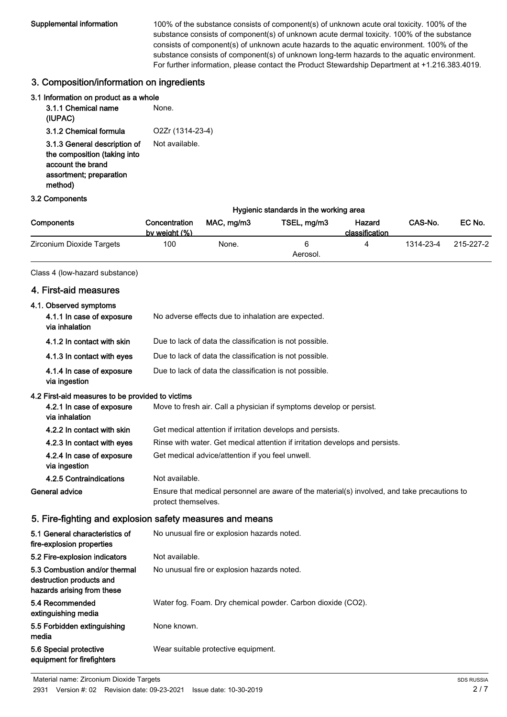Supplemental information 100% of the substance consists of component(s) of unknown acute oral toxicity. 100% of the substance consists of component(s) of unknown acute dermal toxicity. 100% of the substance consists of component(s) of unknown acute hazards to the aquatic environment. 100% of the substance consists of component(s) of unknown long-term hazards to the aquatic environment. For further information, please contact the Product Stewardship Department at +1.216.383.4019.

## 3. Composition/information on ingredients

| 3.1 Information on product as a whole                                                                                   |                  |
|-------------------------------------------------------------------------------------------------------------------------|------------------|
| 3.1.1 Chemical name<br>(IUPAC)                                                                                          | None.            |
| 3.1.2 Chemical formula                                                                                                  | O2Zr (1314-23-4) |
| 3.1.3 General description of<br>the composition (taking into<br>account the brand<br>assortment; preparation<br>method) | Not available.   |

#### 3.2 Components

|                           | Hygienic standards in the working area |            |               |                          |           |           |
|---------------------------|----------------------------------------|------------|---------------|--------------------------|-----------|-----------|
| <b>Components</b>         | Concentration<br>by weight (%)         | MAC, ma/m3 | TSEL, mg/m3   | Hazard<br>classification | CAS-No.   | EC No.    |
| Zirconium Dioxide Targets | 100                                    | None.      | 6<br>Aerosol. |                          | 1314-23-4 | 215-227-2 |

## Class 4 (low-hazard substance)

## 4. First-aid measures

| 4.1. Observed symptoms                                                                  |                                                                                                                     |
|-----------------------------------------------------------------------------------------|---------------------------------------------------------------------------------------------------------------------|
| 4.1.1 In case of exposure<br>via inhalation                                             | No adverse effects due to inhalation are expected.                                                                  |
| 4.1.2 In contact with skin                                                              | Due to lack of data the classification is not possible.                                                             |
| 4.1.3 In contact with eyes                                                              | Due to lack of data the classification is not possible.                                                             |
| 4.1.4 In case of exposure<br>via ingestion                                              | Due to lack of data the classification is not possible.                                                             |
| 4.2 First-aid measures to be provided to victims                                        |                                                                                                                     |
| 4.2.1 In case of exposure<br>via inhalation                                             | Move to fresh air. Call a physician if symptoms develop or persist.                                                 |
| 4.2.2 In contact with skin                                                              | Get medical attention if irritation develops and persists.                                                          |
| 4.2.3 In contact with eyes                                                              | Rinse with water. Get medical attention if irritation develops and persists.                                        |
| 4.2.4 In case of exposure<br>via ingestion                                              | Get medical advice/attention if you feel unwell.                                                                    |
| 4.2.5 Contraindications                                                                 | Not available.                                                                                                      |
|                                                                                         |                                                                                                                     |
| General advice                                                                          | Ensure that medical personnel are aware of the material(s) involved, and take precautions to<br>protect themselves. |
|                                                                                         | 5. Fire-fighting and explosion safety measures and means                                                            |
| 5.1 General characteristics of<br>fire-explosion properties                             | No unusual fire or explosion hazards noted.                                                                         |
| 5.2 Fire-explosion indicators                                                           | Not available.                                                                                                      |
| 5.3 Combustion and/or thermal<br>destruction products and<br>hazards arising from these | No unusual fire or explosion hazards noted.                                                                         |
| 5.4 Recommended<br>extinguishing media                                                  | Water fog. Foam. Dry chemical powder. Carbon dioxide (CO2).                                                         |
| 5.5 Forbidden extinguishing<br>media                                                    | None known.                                                                                                         |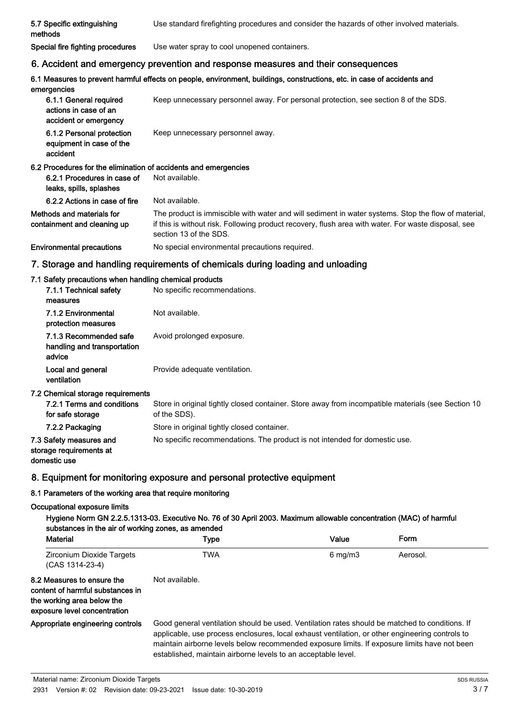| 5.7 Specific extinguishing<br>methods                                    | Use standard firefighting procedures and consider the hazards of other involved materials.                                                                                                                                           |
|--------------------------------------------------------------------------|--------------------------------------------------------------------------------------------------------------------------------------------------------------------------------------------------------------------------------------|
| Special fire fighting procedures                                         | Use water spray to cool unopened containers.                                                                                                                                                                                         |
|                                                                          | 6. Accident and emergency prevention and response measures and their consequences                                                                                                                                                    |
| emergencies                                                              | 6.1 Measures to prevent harmful effects on people, environment, buildings, constructions, etc. in case of accidents and                                                                                                              |
| 6.1.1 General required<br>actions in case of an<br>accident or emergency | Keep unnecessary personnel away. For personal protection, see section 8 of the SDS.                                                                                                                                                  |
| 6.1.2 Personal protection<br>equipment in case of the<br>accident        | Keep unnecessary personnel away.                                                                                                                                                                                                     |
| 6.2 Procedures for the elimination of accidents and emergencies          |                                                                                                                                                                                                                                      |
| 6.2.1 Procedures in case of<br>leaks, spills, splashes                   | Not available.                                                                                                                                                                                                                       |
| 6.2.2 Actions in case of fire                                            | Not available.                                                                                                                                                                                                                       |
| Methods and materials for<br>containment and cleaning up                 | The product is immiscible with water and will sediment in water systems. Stop the flow of material,<br>if this is without risk. Following product recovery, flush area with water. For waste disposal, see<br>section 13 of the SDS. |

Environmental precautions Mo special environmental precautions required.

# 7. Storage and handling requirements of chemicals during loading and unloading

# 7.1 Safety precautions when handling chemical products

| No specific recommendations.                                                                                       |
|--------------------------------------------------------------------------------------------------------------------|
| Not available.                                                                                                     |
| Avoid prolonged exposure.                                                                                          |
| Provide adequate ventilation.                                                                                      |
|                                                                                                                    |
| Store in original tightly closed container. Store away from incompatible materials (see Section 10<br>of the SDS). |
| Store in original tightly closed container.                                                                        |
| No specific recommendations. The product is not intended for domestic use.                                         |
|                                                                                                                    |

# 8. Equipment for monitoring exposure and personal protective equipment

# 8.1 Parameters of the working area that require monitoring

## Occupational exposure limits

| <b>Material</b>                                                                                                              | Type                                                                                                                                                                                                                                                                                                                                                               | Value              | <b>Form</b> |
|------------------------------------------------------------------------------------------------------------------------------|--------------------------------------------------------------------------------------------------------------------------------------------------------------------------------------------------------------------------------------------------------------------------------------------------------------------------------------------------------------------|--------------------|-------------|
| Zirconium Dioxide Targets<br>(CAS 1314-23-4)                                                                                 | <b>TWA</b>                                                                                                                                                                                                                                                                                                                                                         | $6 \text{ mg/m}$ 3 | Aerosol.    |
| 8.2 Measures to ensure the<br>content of harmful substances in<br>the working area below the<br>exposure level concentration | Not available.                                                                                                                                                                                                                                                                                                                                                     |                    |             |
| Appropriate engineering controls                                                                                             | Good general ventilation should be used. Ventilation rates should be matched to conditions. If<br>applicable, use process enclosures, local exhaust ventilation, or other engineering controls to<br>maintain airborne levels below recommended exposure limits. If exposure limits have not been<br>established, maintain airborne levels to an acceptable level. |                    |             |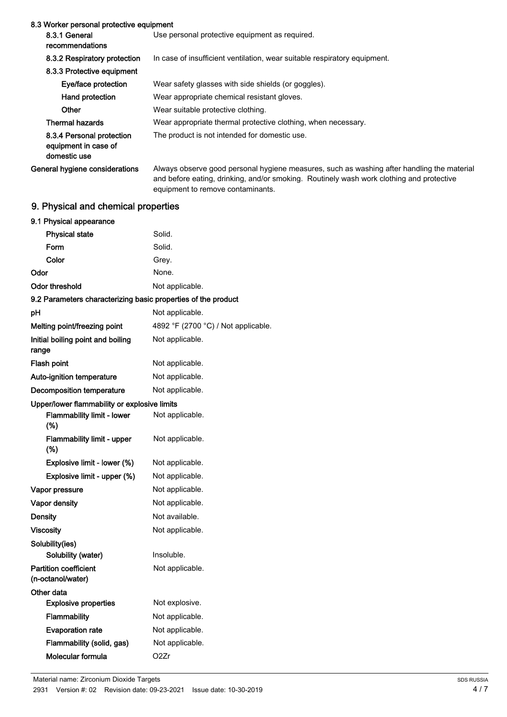| 8.3 Worker personal protective equipment                          |                                                                                                                                                                                        |
|-------------------------------------------------------------------|----------------------------------------------------------------------------------------------------------------------------------------------------------------------------------------|
| 8.3.1 General<br>recommendations                                  | Use personal protective equipment as required.                                                                                                                                         |
| 8.3.2 Respiratory protection                                      | In case of insufficient ventilation, wear suitable respiratory equipment.                                                                                                              |
| 8.3.3 Protective equipment                                        |                                                                                                                                                                                        |
| Eye/face protection                                               | Wear safety glasses with side shields (or goggles).                                                                                                                                    |
| Hand protection                                                   | Wear appropriate chemical resistant gloves.                                                                                                                                            |
| Other                                                             | Wear suitable protective clothing.                                                                                                                                                     |
| <b>Thermal hazards</b>                                            | Wear appropriate thermal protective clothing, when necessary.                                                                                                                          |
| 8.3.4 Personal protection<br>equipment in case of<br>domestic use | The product is not intended for domestic use.                                                                                                                                          |
| General hygiene considerations                                    | Always observe good personal hygiene measures, such as washing after handling the material<br>and before eating, drinking, and/or smoking. Routinely wash work clothing and protective |

equipment to remove contaminants.

# 9. Physical and chemical properties

| 9.1 Physical appearance                                       |                                     |
|---------------------------------------------------------------|-------------------------------------|
| <b>Physical state</b>                                         | Solid.                              |
| Form                                                          | Solid.                              |
| Color                                                         | Grey.                               |
| Odor                                                          | None.                               |
| <b>Odor threshold</b>                                         | Not applicable.                     |
| 9.2 Parameters characterizing basic properties of the product |                                     |
| рH                                                            | Not applicable.                     |
| Melting point/freezing point                                  | 4892 °F (2700 °C) / Not applicable. |
| Initial boiling point and boiling<br>range                    | Not applicable.                     |
| Flash point                                                   | Not applicable.                     |
| Auto-ignition temperature                                     | Not applicable.                     |
| Decomposition temperature                                     | Not applicable.                     |
| Upper/lower flammability or explosive limits                  |                                     |
| <b>Flammability limit - lower</b><br>(%)                      | Not applicable.                     |
| <b>Flammability limit - upper</b><br>$(\%)$                   | Not applicable.                     |
| Explosive limit - lower (%)                                   | Not applicable.                     |
| Explosive limit - upper (%)                                   | Not applicable.                     |
| Vapor pressure                                                | Not applicable.                     |
| Vapor density                                                 | Not applicable.                     |
| <b>Density</b>                                                | Not available.                      |
| <b>Viscosity</b>                                              | Not applicable.                     |
| Solubility(ies)                                               |                                     |
| Solubility (water)                                            | Insoluble.                          |
| <b>Partition coefficient</b><br>(n-octanol/water)             | Not applicable.                     |
| Other data                                                    |                                     |
| <b>Explosive properties</b>                                   | Not explosive.                      |
| Flammability                                                  | Not applicable.                     |
| <b>Evaporation rate</b>                                       | Not applicable.                     |
| Flammability (solid, gas)                                     | Not applicable.                     |
| Molecular formula                                             | O <sub>2</sub> Zr                   |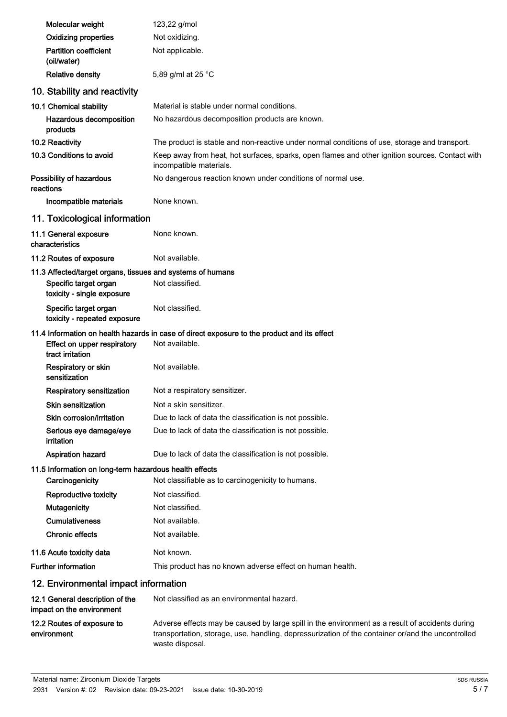| Molecular weight                                                                                                  | 123,22 g/mol                                                                                                                                                                                                            |
|-------------------------------------------------------------------------------------------------------------------|-------------------------------------------------------------------------------------------------------------------------------------------------------------------------------------------------------------------------|
| <b>Oxidizing properties</b>                                                                                       | Not oxidizing.                                                                                                                                                                                                          |
| Partition coefficient<br>(oil/water)                                                                              | Not applicable.                                                                                                                                                                                                         |
| <b>Relative density</b>                                                                                           | 5,89 g/ml at 25 °C                                                                                                                                                                                                      |
| 10. Stability and reactivity                                                                                      |                                                                                                                                                                                                                         |
| 10.1 Chemical stability                                                                                           | Material is stable under normal conditions.                                                                                                                                                                             |
| Hazardous decomposition<br>products                                                                               | No hazardous decomposition products are known.                                                                                                                                                                          |
| 10.2 Reactivity                                                                                                   | The product is stable and non-reactive under normal conditions of use, storage and transport.                                                                                                                           |
| 10.3 Conditions to avoid                                                                                          | Keep away from heat, hot surfaces, sparks, open flames and other ignition sources. Contact with<br>incompatible materials.                                                                                              |
| Possibility of hazardous<br>reactions                                                                             | No dangerous reaction known under conditions of normal use.                                                                                                                                                             |
| Incompatible materials                                                                                            | None known.                                                                                                                                                                                                             |
| 11. Toxicological information                                                                                     |                                                                                                                                                                                                                         |
| 11.1 General exposure<br>characteristics                                                                          | None known.                                                                                                                                                                                                             |
| 11.2 Routes of exposure                                                                                           | Not available.                                                                                                                                                                                                          |
| 11.3 Affected/target organs, tissues and systems of humans<br>Specific target organ<br>toxicity - single exposure | Not classified.                                                                                                                                                                                                         |
| Specific target organ<br>toxicity - repeated exposure                                                             | Not classified.                                                                                                                                                                                                         |
|                                                                                                                   | 11.4 Information on health hazards in case of direct exposure to the product and its effect                                                                                                                             |
| Effect on upper respiratory<br>tract irritation                                                                   | Not available.                                                                                                                                                                                                          |
| Respiratory or skin<br>sensitization                                                                              | Not available.                                                                                                                                                                                                          |
| Respiratory sensitization                                                                                         | Not a respiratory sensitizer.                                                                                                                                                                                           |
| <b>Skin sensitization</b>                                                                                         | Not a skin sensitizer.                                                                                                                                                                                                  |
| Skin corrosion/irritation                                                                                         | Due to lack of data the classification is not possible.                                                                                                                                                                 |
| Serious eye damage/eye<br>irritation                                                                              | Due to lack of data the classification is not possible.                                                                                                                                                                 |
| <b>Aspiration hazard</b>                                                                                          | Due to lack of data the classification is not possible.                                                                                                                                                                 |
| 11.5 Information on long-term hazardous health effects                                                            |                                                                                                                                                                                                                         |
| Carcinogenicity                                                                                                   | Not classifiable as to carcinogenicity to humans.                                                                                                                                                                       |
| Reproductive toxicity                                                                                             | Not classified.                                                                                                                                                                                                         |
| <b>Mutagenicity</b>                                                                                               | Not classified.                                                                                                                                                                                                         |
| <b>Cumulativeness</b>                                                                                             | Not available.                                                                                                                                                                                                          |
| <b>Chronic effects</b>                                                                                            | Not available.                                                                                                                                                                                                          |
| 11.6 Acute toxicity data                                                                                          | Not known.                                                                                                                                                                                                              |
| <b>Further information</b>                                                                                        | This product has no known adverse effect on human health.                                                                                                                                                               |
| 12. Environmental impact information                                                                              |                                                                                                                                                                                                                         |
| 12.1 General description of the<br>impact on the environment                                                      | Not classified as an environmental hazard.                                                                                                                                                                              |
| 12.2 Routes of exposure to<br>environment                                                                         | Adverse effects may be caused by large spill in the environment as a result of accidents during<br>transportation, storage, use, handling, depressurization of the container or/and the uncontrolled<br>waste disposal. |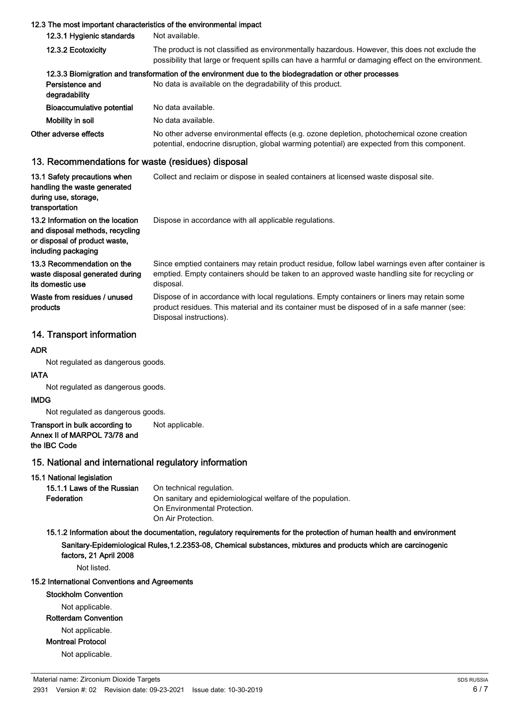#### 12.3 The most important characteristics of the environmental impact

| 12.3.1 Hygienic standards        | Not available.                                                                                                                                                                                        |  |
|----------------------------------|-------------------------------------------------------------------------------------------------------------------------------------------------------------------------------------------------------|--|
| 12.3.2 Ecotoxicity               | The product is not classified as environmentally hazardous. However, this does not exclude the<br>possibility that large or frequent spills can have a harmful or damaging effect on the environment. |  |
|                                  | 12.3.3 Biomigration and transformation of the environment due to the biodegradation or other processes                                                                                                |  |
| Persistence and<br>degradability | No data is available on the degradability of this product.                                                                                                                                            |  |
| Bioaccumulative potential        | No data available.                                                                                                                                                                                    |  |
| Mobility in soil                 | No data available.                                                                                                                                                                                    |  |
| Other adverse effects            | No other adverse environmental effects (e.g. ozone depletion, photochemical ozone creation<br>potential, endocrine disruption, global warming potential) are expected from this component.            |  |

#### 13. Recommendations for waste (residues) disposal

| 13.1 Safety precautions when<br>handling the waste generated<br>during use, storage,<br>transportation                      | Collect and reclaim or dispose in sealed containers at licensed waste disposal site.                                                                                                                                   |
|-----------------------------------------------------------------------------------------------------------------------------|------------------------------------------------------------------------------------------------------------------------------------------------------------------------------------------------------------------------|
| 13.2 Information on the location<br>and disposal methods, recycling<br>or disposal of product waste,<br>including packaging | Dispose in accordance with all applicable regulations.                                                                                                                                                                 |
| 13.3 Recommendation on the<br>waste disposal generated during<br>its domestic use                                           | Since emptied containers may retain product residue, follow label warnings even after container is<br>emptied. Empty containers should be taken to an approved waste handling site for recycling or<br>disposal.       |
| Waste from residues / unused<br>products                                                                                    | Dispose of in accordance with local regulations. Empty containers or liners may retain some<br>product residues. This material and its container must be disposed of in a safe manner (see:<br>Disposal instructions). |

## 14. Transport information

## ADR

Not regulated as dangerous goods.

#### IATA

Not regulated as dangerous goods.

#### IMDG

Not regulated as dangerous goods.

#### Transport in bulk according to Not applicable. Annex II of MARPOL 73/78 and the IBC Code

## 15. National and international regulatory information

15.1 National legislation

| 15.1.1 Laws of the Russian | On technical regulation.                                   |
|----------------------------|------------------------------------------------------------|
| Federation                 | On sanitary and epidemiological welfare of the population. |
|                            | On Environmental Protection.                               |
|                            | On Air Protection.                                         |

## 15.1.2 Information about the documentation, regulatory requirements for the protection of human health and environment Sanitary-Epidemiological Rules,1.2.2353-08, Chemical substances, mixtures and products which are carcinogenic factors, 21 April 2008

Not listed.

# 15.2 International Conventions and Agreements

Stockholm Convention

Not applicable.

#### Rotterdam Convention

Not applicable.

Montreal Protocol

Not applicable.